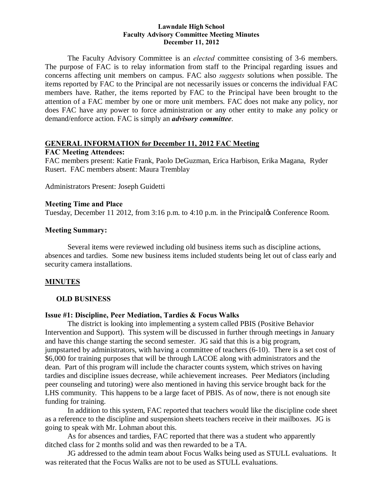#### **Lawndale High School Faculty Advisory Committee Meeting Minutes December 11, 2012**

The Faculty Advisory Committee is an *elected* committee consisting of 3-6 members. The purpose of FAC is to relay information from staff to the Principal regarding issues and concerns affecting unit members on campus. FAC also *suggests* solutions when possible. The items reported by FAC to the Principal are not necessarily issues or concerns the individual FAC members have. Rather, the items reported by FAC to the Principal have been brought to the attention of a FAC member by one or more unit members. FAC does not make any policy, nor does FAC have any power to force administration or any other entity to make any policy or demand/enforce action. FAC is simply an *advisory committee*.

#### **GENERAL INFORMATION for December 11, 2012 FAC Meeting**

#### **FAC Meeting Attendees:**

FAC members present: Katie Frank, Paolo DeGuzman, Erica Harbison, Erika Magana, Ryder Rusert. FAC members absent: Maura Tremblay

Administrators Present: Joseph Guidetti

#### **Meeting Time and Place**

Tuesday, December 11 2012, from 3:16 p.m. to 4:10 p.m. in the Principal & Conference Room.

#### **Meeting Summary:**

Several items were reviewed including old business items such as discipline actions, absences and tardies. Some new business items included students being let out of class early and security camera installations.

## **MINUTES**

#### **OLD BUSINESS**

#### **Issue #1: Discipline, Peer Mediation, Tardies & Focus Walks**

The district is looking into implementing a system called PBIS (Positive Behavior Intervention and Support). This system will be discussed in further through meetings in January and have this change starting the second semester. JG said that this is a big program, jumpstarted by administrators, with having a committee of teachers (6-10). There is a set cost of \$6,000 for training purposes that will be through LACOE along with administrators and the dean. Part of this program will include the character counts system, which strives on having tardies and discipline issues decrease, while achievement increases. Peer Mediators (including peer counseling and tutoring) were also mentioned in having this service brought back for the LHS community. This happens to be a large facet of PBIS. As of now, there is not enough site funding for training.

In addition to this system, FAC reported that teachers would like the discipline code sheet as a reference to the discipline and suspension sheets teachers receive in their mailboxes. JG is going to speak with Mr. Lohman about this.

As for absences and tardies, FAC reported that there was a student who apparently ditched class for 2 months solid and was then rewarded to be a TA.

JG addressed to the admin team about Focus Walks being used as STULL evaluations. It was reiterated that the Focus Walks are not to be used as STULL evaluations.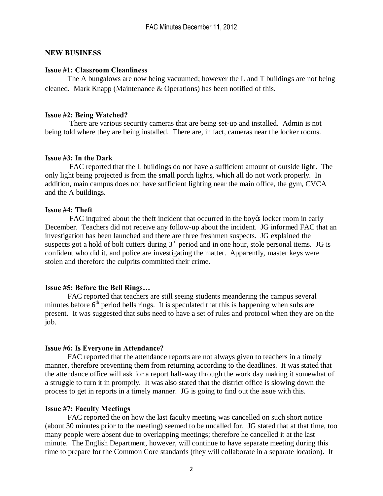## **NEW BUSINESS**

#### **Issue #1: Classroom Cleanliness**

The A bungalows are now being vacuumed; however the L and T buildings are not being cleaned. Mark Knapp (Maintenance & Operations) has been notified of this.

#### **Issue #2: Being Watched?**

There are various security cameras that are being set-up and installed. Admin is not being told where they are being installed. There are, in fact, cameras near the locker rooms.

#### **Issue #3: In the Dark**

FAC reported that the L buildings do not have a sufficient amount of outside light. The only light being projected is from the small porch lights, which all do not work properly. In addition, main campus does not have sufficient lighting near the main office, the gym, CVCA and the A buildings.

#### **Issue #4: Theft**

FAC inquired about the theft incident that occurred in the boy to locker room in early December. Teachers did not receive any follow-up about the incident. JG informed FAC that an investigation has been launched and there are three freshmen suspects. JG explained the suspects got a hold of bolt cutters during  $3<sup>rd</sup>$  period and in one hour, stole personal items. JG is confident who did it, and police are investigating the matter. Apparently, master keys were stolen and therefore the culprits committed their crime.

## **Issue #5: Before the Bell Rings…**

FAC reported that teachers are still seeing students meandering the campus several minutes before  $6<sup>th</sup>$  period bells rings. It is speculated that this is happening when subs are present. It was suggested that subs need to have a set of rules and protocol when they are on the job.

## **Issue #6: Is Everyone in Attendance?**

FAC reported that the attendance reports are not always given to teachers in a timely manner, therefore preventing them from returning according to the deadlines. It was stated that the attendance office will ask for a report half-way through the work day making it somewhat of a struggle to turn it in promptly. It was also stated that the district office is slowing down the process to get in reports in a timely manner. JG is going to find out the issue with this.

## **Issue #7: Faculty Meetings**

FAC reported the on how the last faculty meeting was cancelled on such short notice (about 30 minutes prior to the meeting) seemed to be uncalled for. JG stated that at that time, too many people were absent due to overlapping meetings; therefore he cancelled it at the last minute. The English Department, however, will continue to have separate meeting during this time to prepare for the Common Core standards (they will collaborate in a separate location). It